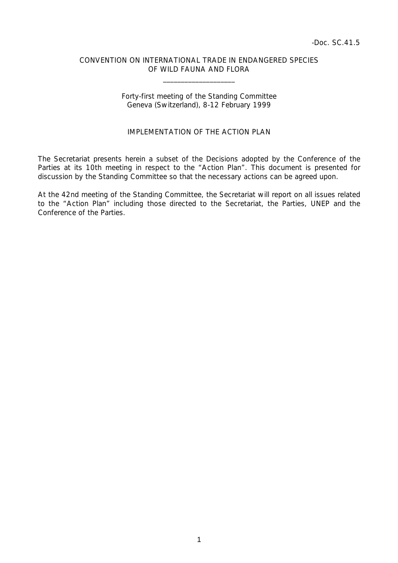## CONVENTION ON INTERNATIONAL TRADE IN ENDANGERED SPECIES OF WILD FAUNA AND FLORA

 $\overline{\phantom{a}}$  , which is a set of the set of the set of the set of the set of the set of the set of the set of the set of the set of the set of the set of the set of the set of the set of the set of the set of the set of th

## Forty-first meeting of the Standing Committee Geneva (Switzerland), 8-12 February 1999

## IMPI FMENTATION OF THE ACTION PLAN

The Secretariat presents herein a subset of the Decisions adopted by the Conference of the Parties at its 10th meeting in respect to the "Action Plan". This document is presented for discussion by the Standing Committee so that the necessary actions can be agreed upon.

At the 42nd meeting of the Standing Committee, the Secretariat will report on all issues related to the "Action Plan" including those directed to the Secretariat, the Parties, UNEP and the Conference of the Parties.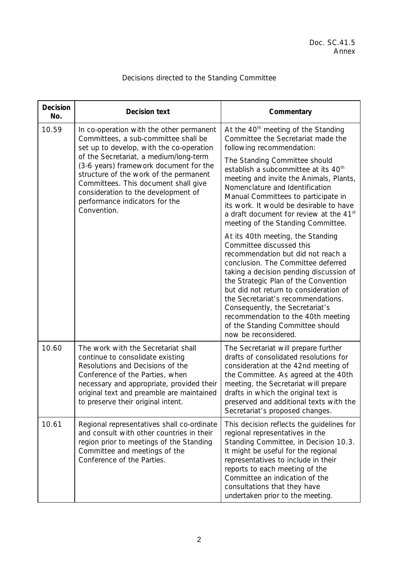| <b>Decision</b><br>No. | <b>Decision text</b>                                                                                                                                                                                                                                                                                                                                                                       | Commentary                                                                                                                                                                                                                                                                                                                                                                                                                                        |
|------------------------|--------------------------------------------------------------------------------------------------------------------------------------------------------------------------------------------------------------------------------------------------------------------------------------------------------------------------------------------------------------------------------------------|---------------------------------------------------------------------------------------------------------------------------------------------------------------------------------------------------------------------------------------------------------------------------------------------------------------------------------------------------------------------------------------------------------------------------------------------------|
| 10.59                  | In co-operation with the other permanent<br>Committees, a sub-committee shall be<br>set up to develop, with the co-operation<br>of the Secretariat, a medium/long-term<br>(3-6 years) framework document for the<br>structure of the work of the permanent<br>Committees. This document shall give<br>consideration to the development of<br>performance indicators for the<br>Convention. | At the 40 <sup>th</sup> meeting of the Standing<br>Committee the Secretariat made the<br>following recommendation:                                                                                                                                                                                                                                                                                                                                |
|                        |                                                                                                                                                                                                                                                                                                                                                                                            | The Standing Committee should<br>establish a subcommittee at its $40th$<br>meeting and invite the Animals, Plants,<br>Nomenclature and Identification<br>Manual Committees to participate in<br>its work. It would be desirable to have<br>a draft document for review at the 41st<br>meeting of the Standing Committee.                                                                                                                          |
|                        |                                                                                                                                                                                                                                                                                                                                                                                            | At its 40th meeting, the Standing<br>Committee discussed this<br>recommendation but did not reach a<br>conclusion. The Committee deferred<br>taking a decision pending discussion of<br>the Strategic Plan of the Convention<br>but did not return to consideration of<br>the Secretariat's recommendations.<br>Consequently, the Secretariat's<br>recommendation to the 40th meeting<br>of the Standing Committee should<br>now be reconsidered. |
| 10.60                  | The work with the Secretariat shall<br>continue to consolidate existing<br>Resolutions and Decisions of the<br>Conference of the Parties, when<br>necessary and appropriate, provided their<br>original text and preamble are maintained<br>to preserve their original intent.                                                                                                             | The Secretariat will prepare further<br>drafts of consolidated resolutions for<br>consideration at the 42nd meeting of<br>the Committee. As agreed at the 40th<br>meeting, the Secretariat will prepare<br>drafts in which the original text is<br>preserved and additional texts with the<br>Secretariat's proposed changes.                                                                                                                     |
| 10.61                  | Regional representatives shall co-ordinate<br>and consult with other countries in their<br>region prior to meetings of the Standing<br>Committee and meetings of the<br>Conference of the Parties.                                                                                                                                                                                         | This decision reflects the guidelines for<br>regional representatives in the<br>Standing Committee, in Decision 10.3.<br>It might be useful for the regional<br>representatives to include in their<br>reports to each meeting of the<br>Committee an indication of the<br>consultations that they have<br>undertaken prior to the meeting.                                                                                                       |

## Decisions directed to the Standing Committee